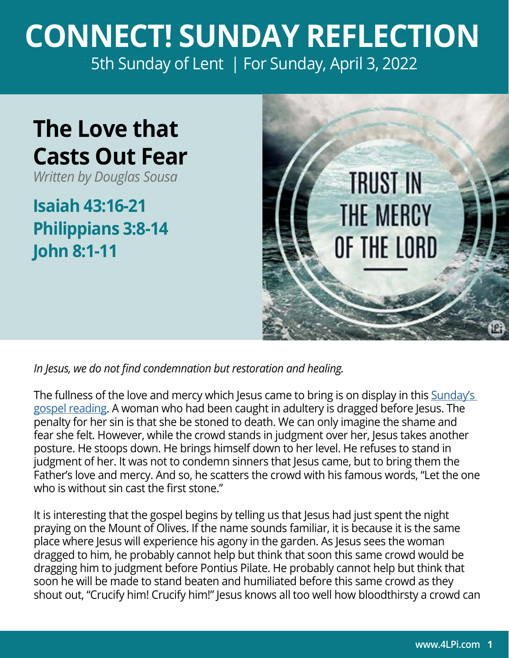## **CONNECT! SUNDAY REFLECTION** [5th Sunday of Lent | For Sunday, April 3, 2022](https://bible.usccb.org/bible/readings/040322-YearC.cfm)

## **The Love that Casts Out Fear**

*Written by Douglas Sousa*

**Isaiah 43:16-21 Philippians 3:8-14 John 8:1-11**



*In Jesus, we do not find condemnation but restoration and healing.* 

The fullness of the love and mercy which Jesus came to bring is on display in this Sunday's [gospel reading](https://bible.usccb.org/bible/john/8?1). A woman who had been caught in adultery is dragged before Jesus. The penalty for her sin is that she be stoned to death. We can only imagine the shame and fear she felt. However, while the crowd stands in judgment over her, Jesus takes another posture. He stoops down. He brings himself down to her level. He refuses to stand in judgment of her. It was not to condemn sinners that Jesus came, but to bring them the Father's love and mercy. And so, he scatters the crowd with his famous words, "Let the one who is without sin cast the first stone."

It is interesting that the gospel begins by telling us that Jesus had just spent the night praying on the Mount of Olives. If the name sounds familiar, it is because it is the same place where Jesus will experience his agony in the garden. As Jesus sees the woman dragged to him, he probably cannot help but think that soon this same crowd would be dragging him to judgment before Pontius Pilate. He probably cannot help but think that soon he will be made to stand beaten and humiliated before this same crowd as they shout out, "Crucify him! Crucify him!" Jesus knows all too well how bloodthirsty a crowd can